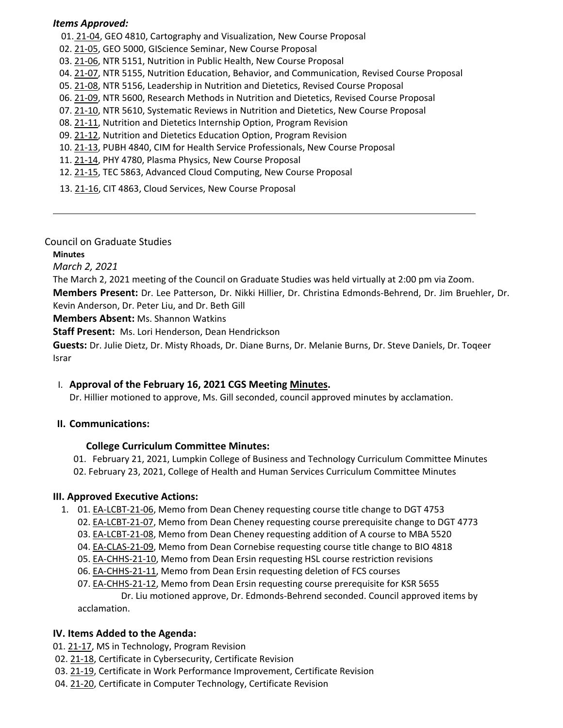#### *Items Approved:*

- 01. 21‐[04,](https://castle.eiu.edu/eiucgs/currentagendaitems/agenda21-04.pdf) GEO 4810, Cartography and Visualization, New Course Proposal
- 02. 21‐[05,](https://castle.eiu.edu/eiucgs/currentagendaitems/agenda21-05.pdf) GEO 5000, GIScience Seminar, New Course Proposal
- 03. 21‐[06,](https://castle.eiu.edu/eiucgs/currentagendaitems/agenda21-06.pdf) NTR 5151, Nutrition in Public Health, New Course Proposal
- 04. 21‐[07,](https://castle.eiu.edu/eiucgs/currentagendaitems/agenda21-07.pdf) NTR 5155, Nutrition Education, Behavior, and Communication, Revised Course Proposal
- 05. 21‐[08,](https://castle.eiu.edu/eiucgs/currentagendaitems/agenda21-08.pdf) NTR 5156, Leadership in Nutrition and Dietetics, Revised Course Proposal
- 06. 21‐[09,](https://castle.eiu.edu/eiucgs/currentagendaitems/agenda21-09.pdf) NTR 5600, Research Methods in Nutrition and Dietetics, Revised Course Proposal
- 07. 21-[10,](https://castle.eiu.edu/eiucgs/currentagendaitems/agenda21-10.pdf) NTR 5610, Systematic Reviews in Nutrition and Dietetics, New Course Proposal
- 08. 21‐[11,](https://castle.eiu.edu/eiucgs/currentagendaitems/agenda21-11.pdf) Nutrition and Dietetics Internship Option, Program Revision
- 09. 21‐[12,](https://castle.eiu.edu/eiucgs/currentagendaitems/agenda21-12.pdf) Nutrition and Dietetics Education Option, Program Revision
- 10. 21‐[13,](https://castle.eiu.edu/eiucgs/currentagendaitems/agenda21-13.pdf) PUBH 4840, CIM for Health Service Professionals, New Course Proposal
- 11. 21‐[14,](https://castle.eiu.edu/eiucgs/currentagendaitems/agenda21-14.pdf) PHY 4780, Plasma Physics, New Course Proposal
- 12. 21‐[15,](https://castle.eiu.edu/eiucgs/currentagendaitems/agenda21-15.pdf) TEC 5863, Advanced Cloud Computing, New Course Proposal
- 13. 21‐[16,](https://castle.eiu.edu/eiucgs/currentagendaitems/agenda21-16.pdf) CIT 4863, Cloud Services, New Course Proposal

Council on Graduate Studies

**Minutes**

*March 2, 2021*

The March 2, 2021 meeting of the Council on Graduate Studies was held virtually at 2:00 pm via Zoom.

**Members Present:** Dr. Lee Patterson, Dr. Nikki Hillier, Dr. Christina Edmonds‐Behrend, Dr. Jim Bruehler, Dr. Kevin Anderson, Dr. Peter Liu, and Dr. Beth Gill

**Members Absent:** Ms. Shannon Watkins

**Staff Present:** Ms. Lori Henderson, Dean Hendrickson

**Guests:** Dr. Julie Dietz, Dr. Misty Rhoads, Dr. Diane Burns, Dr. Melanie Burns, Dr. Steve Daniels, Dr. Toqeer Israr

## I. **Approval of the February 16, 2021 CGS Meeting [Minutes.](https://castle.eiu.edu/~eiucgs/currentminutes/Minutes2-16-21.pdf)**

Dr. Hillier motioned to approve, Ms. Gill seconded, council approved minutes by acclamation.

## **II. Communications:**

## **College Curriculum Committee Minutes:**

01. February 21, 2021, Lumpkin College of Business and Technology Curriculum Committee Minutes 02. February 23, 2021, College of Health and Human Services Curriculum Committee Minutes

## **III. Approved Executive Actions:**

- 1. 01. EA-[LCBT](https://castle.eiu.edu/eiucgs/exec-actions/EA-LCBT-21-06.pdf)-21-06, Memo from Dean Cheney requesting course title change to DGT 4753
	- 02. EA-[LCBT](https://castle.eiu.edu/eiucgs/exec-actions/EA-LCBT-21-07.pdf)-21-07, Memo from Dean Cheney requesting course prerequisite change to DGT 4773
	- 03. EA-[LCBT](https://castle.eiu.edu/eiucgs/exec-actions/EA-LCBT-21-08.pdf)-21-08, Memo from Dean Cheney requesting addition of A course to MBA 5520
	- 04. EA‐[CLAS](https://castle.eiu.edu/eiucgs/exec-actions/EA-CLAS-21-09.pdf)‐21‐09, Memo from Dean Cornebise requesting course title change to BIO 4818
	- 05. EA‐[CHHS](https://castle.eiu.edu/eiucgs/exec-actions/EA-CHHS-21-10.pdf)‐21‐10, Memo from Dean Ersin requesting HSL course restriction revisions
	- 06. EA‐[CHHS](https://castle.eiu.edu/eiucgs/exec-actions/EA-CHHS-21-11.pdf)‐21‐11, Memo from Dean Ersin requesting deletion of FCS courses

07. EA‐[CHHS](https://castle.eiu.edu/eiucgs/exec-actions/EA-CHHS-21-12.pdf)‐21‐12, Memo from Dean Ersin requesting course prerequisite for KSR 5655 Dr. Liu motioned approve, Dr. Edmonds‐Behrend seconded. Council approved items by acclamation.

## **IV. Items Added to the Agenda:**

- 01. 21‐[17,](https://castle.eiu.edu/eiucgs/currentagendaitems/agenda21-17.pdf) MS in Technology, Program Revision
- 02. [21](https://castle.eiu.edu/eiucgs/currentagendaitems/agenda21-18.pdf)‐18, Certificate in Cybersecurity, Certificate Revision
- 03. 21‐[19,](https://castle.eiu.edu/eiucgs/currentagendaitems/agenda21-19.pdf) Certificate in Work Performance Improvement, Certificate Revision
- 04. 21‐[20,](https://castle.eiu.edu/eiucgs/currentagendaitems/agenda21-20.pdf) Certificate in Computer Technology, Certificate Revision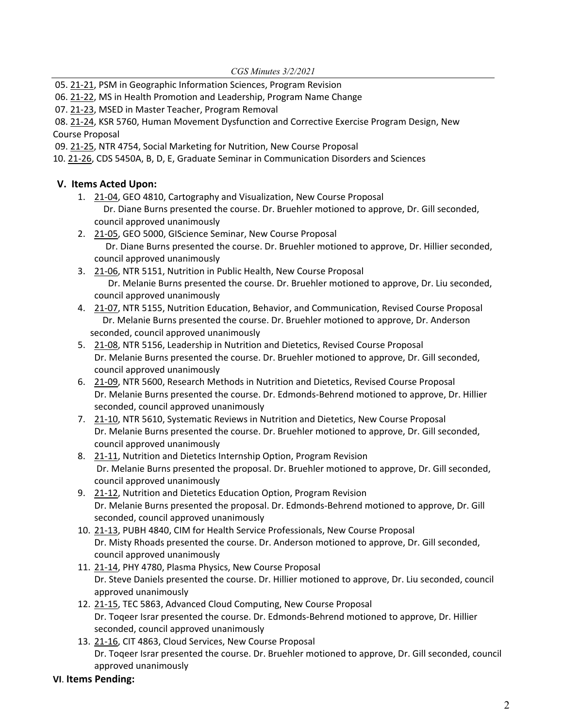05. [21](https://castle.eiu.edu/eiucgs/currentagendaitems/agenda21-21.pdf)-21, PSM in Geographic Information Sciences, Program Revision

06. 21‐[22](https://castle.eiu.edu/eiucgs/currentagendaitems/agenda21-22.pdf), MS in Health Promotion and Leadership, Program Name Change

07. 21‐[23,](https://castle.eiu.edu/eiucgs/currentagendaitems/agenda21-23.pdf) MSED in Master Teacher, Program Removal

08. 21-[24,](https://castle.eiu.edu/eiucgs/currentagendaitems/agenda21-24.pdf) KSR 5760, Human Movement Dysfunction and Corrective Exercise Program Design, New Course Proposal

09. 21‐[25,](https://castle.eiu.edu/eiucgs/currentagendaitems/agenda21-25.pdf) NTR 4754, Social Marketing for Nutrition, New Course Proposal

10. 21‐[26,](https://castle.eiu.edu/eiucgs/currentagendaitems/agenda21-26.pdf) CDS 5450A, B, D, E, Graduate Seminar in Communication Disorders and Sciences

# **V. Items Acted Upon:**

- 1. 21‐[04](https://castle.eiu.edu/eiucgs/currentagendaitems/agenda21-04.pdf), GEO 4810, Cartography and Visualization, New Course Proposal Dr. Diane Burns presented the course. Dr. Bruehler motioned to approve, Dr. Gill seconded, council approved unanimously
- 2. 21‐[05](https://castle.eiu.edu/eiucgs/currentagendaitems/agenda21-05.pdf), GEO 5000, GIScience Seminar, New Course Proposal Dr. Diane Burns presented the course. Dr. Bruehler motioned to approve, Dr. Hillier seconded, council approved unanimously
- 3. 21‐[06](https://castle.eiu.edu/eiucgs/currentagendaitems/agenda21-06.pdf), NTR 5151, Nutrition in Public Health, New Course Proposal Dr. Melanie Burns presented the course. Dr. Bruehler motioned to approve, Dr. Liu seconded, council approved unanimously
- 4. 21-[07](https://castle.eiu.edu/eiucgs/currentagendaitems/agenda21-07.pdf), NTR 5155, Nutrition Education, Behavior, and Communication, Revised Course Proposal Dr. Melanie Burns presented the course. Dr. Bruehler motioned to approve, Dr. Anderson seconded, council approved unanimously
- 5. 21-[08,](https://castle.eiu.edu/eiucgs/currentagendaitems/agenda21-08.pdf) NTR 5156, Leadership in Nutrition and Dietetics, Revised Course Proposal Dr. Melanie Burns presented the course. Dr. Bruehler motioned to approve, Dr. Gill seconded, council approved unanimously
- 6. 21-[09,](https://castle.eiu.edu/eiucgs/currentagendaitems/agenda21-09.pdf) NTR 5600, Research Methods in Nutrition and Dietetics, Revised Course Proposal Dr. Melanie Burns presented the course. Dr. Edmonds‐Behrend motioned to approve, Dr. Hillier seconded, council approved unanimously
- 7. 21-[10,](https://castle.eiu.edu/eiucgs/currentagendaitems/agenda21-10.pdf) NTR 5610, Systematic Reviews in Nutrition and Dietetics, New Course Proposal Dr. Melanie Burns presented the course. Dr. Bruehler motioned to approve, Dr. Gill seconded, council approved unanimously
- 8. [21](https://castle.eiu.edu/eiucgs/currentagendaitems/agenda21-11.pdf)-11, Nutrition and Dietetics Internship Option, Program Revision Dr. Melanie Burns presented the proposal. Dr. Bruehler motioned to approve, Dr. Gill seconded, council approved unanimously
- 9. 21-[12](https://castle.eiu.edu/eiucgs/currentagendaitems/agenda21-12.pdf), Nutrition and Dietetics Education Option, Program Revision Dr. Melanie Burns presented the proposal. Dr. Edmonds‐Behrend motioned to approve, Dr. Gill seconded, council approved unanimously
- 10. 21-[13,](https://castle.eiu.edu/eiucgs/currentagendaitems/agenda21-13.pdf) PUBH 4840, CIM for Health Service Professionals, New Course Proposal Dr. Misty Rhoads presented the course. Dr. Anderson motioned to approve, Dr. Gill seconded, council approved unanimously
- 11. 21‐[14](https://castle.eiu.edu/eiucgs/currentagendaitems/agenda21-14.pdf), PHY 4780, Plasma Physics, New Course Proposal Dr. Steve Daniels presented the course. Dr. Hillier motioned to approve, Dr. Liu seconded, council approved unanimously
- 12. 21‐[15,](https://castle.eiu.edu/eiucgs/currentagendaitems/agenda21-15.pdf) TEC 5863, Advanced Cloud Computing, New Course Proposal Dr. Toqeer Israr presented the course. Dr. Edmonds‐Behrend motioned to approve, Dr. Hillier seconded, council approved unanimously
- 13. 21-[16](https://castle.eiu.edu/eiucgs/currentagendaitems/agenda21-16.pdf), CIT 4863, Cloud Services, New Course Proposal Dr. Toqeer Israr presented the course. Dr. Bruehler motioned to approve, Dr. Gill seconded, council approved unanimously

## **VI**. **Items Pending:**